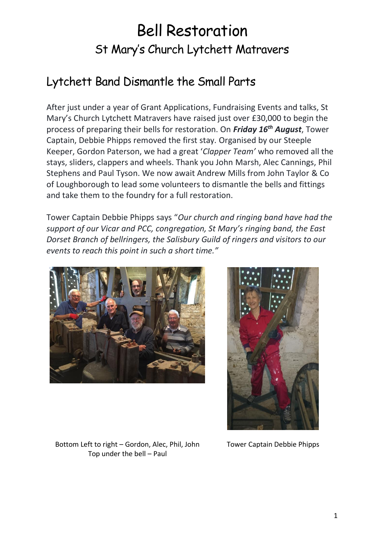## Bell Restoration St Mary's Church Lytchett Matravers

## Lytchett Band Dismantle the Small Parts

After just under a year of Grant Applications, Fundraising Events and talks, St Mary's Church Lytchett Matravers have raised just over £30,000 to begin the process of preparing their bells for restoration. On *Friday 16th August*, Tower Captain, Debbie Phipps removed the first stay. Organised by our Steeple Keeper, Gordon Paterson, we had a great '*Clapper Team'* who removed all the stays, sliders, clappers and wheels. Thank you John Marsh, Alec Cannings, Phil Stephens and Paul Tyson. We now await Andrew Mills from John Taylor & Co of Loughborough to lead some volunteers to dismantle the bells and fittings and take them to the foundry for a full restoration.

Tower Captain Debbie Phipps says "*Our church and ringing band have had the support of our Vicar and PCC, congregation, St Mary's ringing band, the East Dorset Branch of bellringers, the Salisbury Guild of ringers and visitors to our events to reach this point in such a short time."*





Bottom Left to right – Gordon, Alec, Phil, John Top under the bell – Paul

Tower Captain Debbie Phipps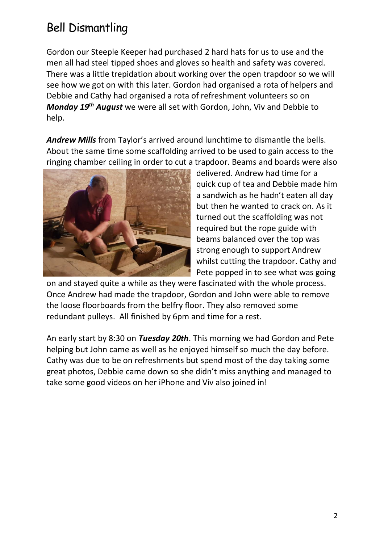## Bell Dismantling

Gordon our Steeple Keeper had purchased 2 hard hats for us to use and the men all had steel tipped shoes and gloves so health and safety was covered. There was a little trepidation about working over the open trapdoor so we will see how we got on with this later. Gordon had organised a rota of helpers and Debbie and Cathy had organised a rota of refreshment volunteers so on *Monday 19th August* we were all set with Gordon, John, Viv and Debbie to help.

*Andrew Mills* from Taylor's arrived around lunchtime to dismantle the bells. About the same time some scaffolding arrived to be used to gain access to the ringing chamber ceiling in order to cut a trapdoor. Beams and boards were also



delivered. Andrew had time for a quick cup of tea and Debbie made him a sandwich as he hadn't eaten all day but then he wanted to crack on. As it turned out the scaffolding was not required but the rope guide with beams balanced over the top was strong enough to support Andrew whilst cutting the trapdoor. Cathy and Pete popped in to see what was going

on and stayed quite a while as they were fascinated with the whole process. Once Andrew had made the trapdoor, Gordon and John were able to remove the loose floorboards from the belfry floor. They also removed some redundant pulleys. All finished by 6pm and time for a rest.

An early start by 8:30 on *Tuesday 20th*. This morning we had Gordon and Pete helping but John came as well as he enjoyed himself so much the day before. Cathy was due to be on refreshments but spend most of the day taking some great photos, Debbie came down so she didn't miss anything and managed to take some good videos on her iPhone and Viv also joined in!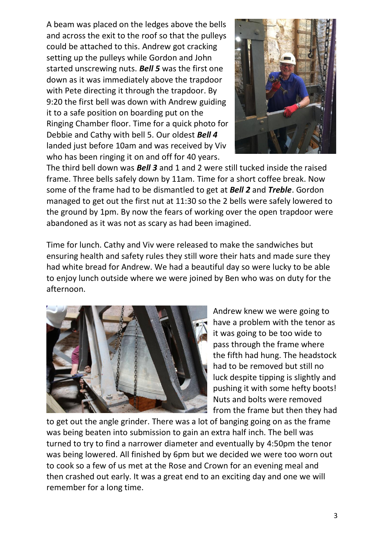A beam was placed on the ledges above the bells and across the exit to the roof so that the pulleys could be attached to this. Andrew got cracking setting up the pulleys while Gordon and John started unscrewing nuts. *Bell 5* was the first one down as it was immediately above the trapdoor with Pete directing it through the trapdoor. By 9:20 the first bell was down with Andrew guiding it to a safe position on boarding put on the Ringing Chamber floor. Time for a quick photo for Debbie and Cathy with bell 5. Our oldest *Bell 4* landed just before 10am and was received by Viv who has been ringing it on and off for 40 years.



The third bell down was *Bell 3* and 1 and 2 were still tucked inside the raised frame. Three bells safely down by 11am. Time for a short coffee break. Now some of the frame had to be dismantled to get at *Bell 2* and *Treble*. Gordon managed to get out the first nut at 11:30 so the 2 bells were safely lowered to the ground by 1pm. By now the fears of working over the open trapdoor were abandoned as it was not as scary as had been imagined.

Time for lunch. Cathy and Viv were released to make the sandwiches but ensuring health and safety rules they still wore their hats and made sure they had white bread for Andrew. We had a beautiful day so were lucky to be able to enjoy lunch outside where we were joined by Ben who was on duty for the afternoon.



Andrew knew we were going to have a problem with the tenor as it was going to be too wide to pass through the frame where the fifth had hung. The headstock had to be removed but still no luck despite tipping is slightly and pushing it with some hefty boots! Nuts and bolts were removed from the frame but then they had

to get out the angle grinder. There was a lot of banging going on as the frame was being beaten into submission to gain an extra half inch. The bell was turned to try to find a narrower diameter and eventually by 4:50pm the tenor was being lowered. All finished by 6pm but we decided we were too worn out to cook so a few of us met at the Rose and Crown for an evening meal and then crashed out early. It was a great end to an exciting day and one we will remember for a long time.